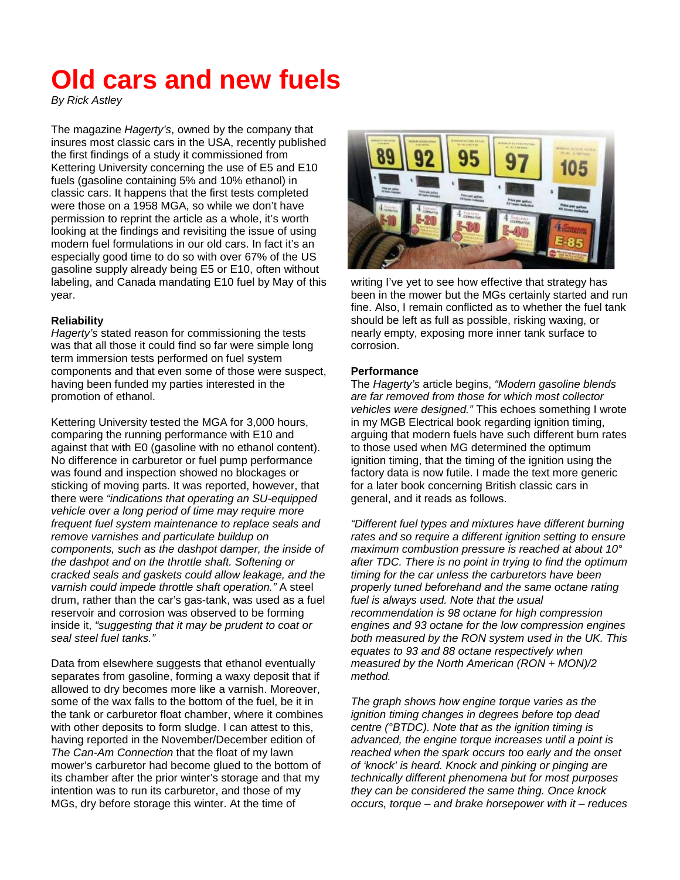## **Old cars and new fuels**

*By Rick Astley*

The magazine *Hagerty's*, owned by the company that insures most classic cars in the USA, recently published the first findings of a study it commissioned from Kettering University concerning the use of E5 and E10 fuels (gasoline containing 5% and 10% ethanol) in classic cars. It happens that the first tests completed were those on a 1958 MGA, so while we don't have permission to reprint the article as a whole, it's worth looking at the findings and revisiting the issue of using modern fuel formulations in our old cars. In fact it's an especially good time to do so with over 67% of the US gasoline supply already being E5 or E10, often without labeling, and Canada mandating E10 fuel by May of this year.

## **Reliability**

*Hagerty's* stated reason for commissioning the tests was that all those it could find so far were simple long term immersion tests performed on fuel system components and that even some of those were suspect, having been funded my parties interested in the promotion of ethanol.

Kettering University tested the MGA for 3,000 hours, comparing the running performance with E10 and against that with E0 (gasoline with no ethanol content). No difference in carburetor or fuel pump performance was found and inspection showed no blockages or sticking of moving parts. It was reported, however, that there were *"indications that operating an SU-equipped vehicle over a long period of time may require more frequent fuel system maintenance to replace seals and remove varnishes and particulate buildup on components, such as the dashpot damper, the inside of the dashpot and on the throttle shaft. Softening or cracked seals and gaskets could allow leakage, and the varnish could impede throttle shaft operation."* A steel drum, rather than the car's gas-tank, was used as a fuel reservoir and corrosion was observed to be forming inside it, *"suggesting that it may be prudent to coat or seal steel fuel tanks."* 

Data from elsewhere suggests that ethanol eventually separates from gasoline, forming a waxy deposit that if allowed to dry becomes more like a varnish. Moreover, some of the wax falls to the bottom of the fuel, be it in the tank or carburetor float chamber, where it combines with other deposits to form sludge. I can attest to this, having reported in the November/December edition of *The Can-Am Connection* that the float of my lawn mower's carburetor had become glued to the bottom of its chamber after the prior winter's storage and that my intention was to run its carburetor, and those of my MGs, dry before storage this winter. At the time of



writing I've yet to see how effective that strategy has been in the mower but the MGs certainly started and run fine. Also, I remain conflicted as to whether the fuel tank should be left as full as possible, risking waxing, or nearly empty, exposing more inner tank surface to corrosion.

## **Performance**

The *Hagerty's* article begins, *"Modern gasoline blends are far removed from those for which most collector vehicles were designed."* This echoes something I wrote in my MGB Electrical book regarding ignition timing, arguing that modern fuels have such different burn rates to those used when MG determined the optimum ignition timing, that the timing of the ignition using the factory data is now futile. I made the text more generic for a later book concerning British classic cars in general, and it reads as follows.

*"Different fuel types and mixtures have different burning rates and so require a different ignition setting to ensure maximum combustion pressure is reached at about 10° after TDC. There is no point in trying to find the optimum timing for the car unless the carburetors have been properly tuned beforehand and the same octane rating fuel is always used. Note that the usual recommendation is 98 octane for high compression engines and 93 octane for the low compression engines both measured by the RON system used in the UK. This equates to 93 and 88 octane respectively when measured by the North American (RON + MON)/2 method.* 

*The graph shows how engine torque varies as the ignition timing changes in degrees before top dead centre (°BTDC). Note that as the ignition timing is advanced, the engine torque increases until a point is reached when the spark occurs too early and the onset of 'knock' is heard. Knock and pinking or pinging are technically different phenomena but for most purposes they can be considered the same thing. Once knock occurs, torque – and brake horsepower with it – reduces*